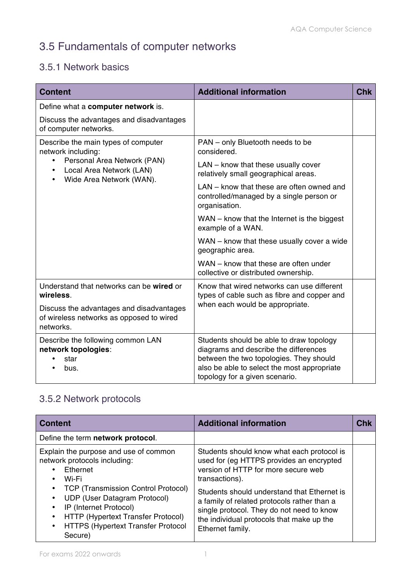## 3.5 Fundamentals of computer networks

## 3.5.1 Network basics

| <b>Content</b>                                                                                                                                                                          | <b>Additional information</b>                                                                                                                                                                                 | <b>Chk</b> |
|-----------------------------------------------------------------------------------------------------------------------------------------------------------------------------------------|---------------------------------------------------------------------------------------------------------------------------------------------------------------------------------------------------------------|------------|
| Define what a computer network is.                                                                                                                                                      |                                                                                                                                                                                                               |            |
| Discuss the advantages and disadvantages<br>of computer networks.                                                                                                                       |                                                                                                                                                                                                               |            |
| Describe the main types of computer<br>network including:<br>Personal Area Network (PAN)<br>$\bullet$<br>Local Area Network (LAN)<br>$\bullet$<br>Wide Area Network (WAN).<br>$\bullet$ | PAN - only Bluetooth needs to be<br>considered.                                                                                                                                                               |            |
|                                                                                                                                                                                         | LAN - know that these usually cover<br>relatively small geographical areas.                                                                                                                                   |            |
|                                                                                                                                                                                         | LAN – know that these are often owned and<br>controlled/managed by a single person or<br>organisation.                                                                                                        |            |
|                                                                                                                                                                                         | WAN – know that the Internet is the biggest<br>example of a WAN.                                                                                                                                              |            |
|                                                                                                                                                                                         | WAN - know that these usually cover a wide<br>geographic area.                                                                                                                                                |            |
|                                                                                                                                                                                         | WAN - know that these are often under<br>collective or distributed ownership.                                                                                                                                 |            |
| Understand that networks can be wired or<br>wireless.                                                                                                                                   | Know that wired networks can use different<br>types of cable such as fibre and copper and<br>when each would be appropriate.                                                                                  |            |
| Discuss the advantages and disadvantages<br>of wireless networks as opposed to wired<br>networks.                                                                                       |                                                                                                                                                                                                               |            |
| Describe the following common LAN<br>network topologies:<br>star<br>bus.                                                                                                                | Students should be able to draw topology<br>diagrams and describe the differences<br>between the two topologies. They should<br>also be able to select the most appropriate<br>topology for a given scenario. |            |

## 3.5.2 Network protocols

| <b>Content</b>                                                                                                                                                                                                                                                                                                                         | <b>Additional information</b>                                                                                                                                                                                                                                                                                                                               | <b>Chk</b> |
|----------------------------------------------------------------------------------------------------------------------------------------------------------------------------------------------------------------------------------------------------------------------------------------------------------------------------------------|-------------------------------------------------------------------------------------------------------------------------------------------------------------------------------------------------------------------------------------------------------------------------------------------------------------------------------------------------------------|------------|
| Define the term network protocol.                                                                                                                                                                                                                                                                                                      |                                                                                                                                                                                                                                                                                                                                                             |            |
| Explain the purpose and use of common<br>network protocols including:<br>Ethernet<br>Wi-Fi<br><b>TCP (Transmission Control Protocol)</b><br>$\bullet$<br><b>UDP (User Datagram Protocol)</b><br>IP (Internet Protocol)<br>٠<br>HTTP (Hypertext Transfer Protocol)<br><b>HTTPS (Hypertext Transfer Protocol</b><br>$\bullet$<br>Secure) | Students should know what each protocol is<br>used for (eg HTTPS provides an encrypted<br>version of HTTP for more secure web<br>transactions).<br>Students should understand that Ethernet is<br>a family of related protocols rather than a<br>single protocol. They do not need to know<br>the individual protocols that make up the<br>Ethernet family. |            |